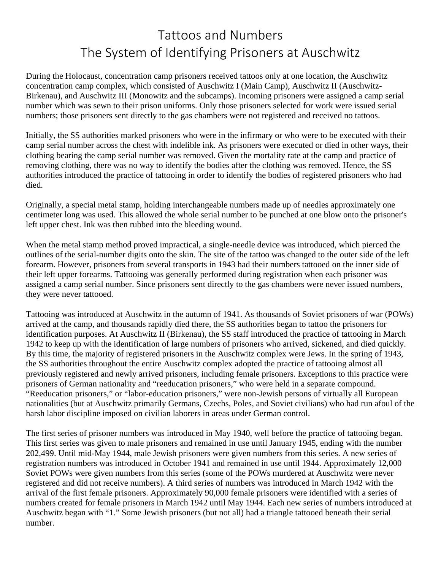## Tattoos and Numbers The System of Identifying Prisoners at Auschwitz

During the Holocaust, concentration camp prisoners received tattoos only at one location, the Auschwitz concentration camp complex, which consisted of Auschwitz I (Main Camp), Auschwitz II (Auschwitz-Birkenau), and Auschwitz III (Monowitz and the subcamps). Incoming prisoners were assigned a camp serial number which was sewn to their prison uniforms. Only those prisoners selected for work were issued serial numbers; those prisoners sent directly to the gas chambers were not registered and received no tattoos.

Initially, the SS authorities marked prisoners who were in the infirmary or who were to be executed with their camp serial number across the chest with indelible ink. As prisoners were executed or died in other ways, their clothing bearing the camp serial number was removed. Given the mortality rate at the camp and practice of removing clothing, there was no way to identify the bodies after the clothing was removed. Hence, the SS authorities introduced the practice of tattooing in order to identify the bodies of registered prisoners who had died.

Originally, a special metal stamp, holding interchangeable numbers made up of needles approximately one centimeter long was used. This allowed the whole serial number to be punched at one blow onto the prisoner's left upper chest. Ink was then rubbed into the bleeding wound.

When the metal stamp method proved impractical, a single-needle device was introduced, which pierced the outlines of the serial-number digits onto the skin. The site of the tattoo was changed to the outer side of the left forearm. However, prisoners from several transports in 1943 had their numbers tattooed on the inner side of their left upper forearms. Tattooing was generally performed during registration when each prisoner was assigned a camp serial number. Since prisoners sent directly to the gas chambers were never issued numbers, they were never tattooed.

Tattooing was introduced at Auschwitz in the autumn of 1941. As thousands of Soviet prisoners of war (POWs) arrived at the camp, and thousands rapidly died there, the SS authorities began to tattoo the prisoners for identification purposes. At Auschwitz II (Birkenau), the SS staff introduced the practice of tattooing in March 1942 to keep up with the identification of large numbers of prisoners who arrived, sickened, and died quickly. By this time, the majority of registered prisoners in the Auschwitz complex were Jews. In the spring of 1943, the SS authorities throughout the entire Auschwitz complex adopted the practice of tattooing almost all previously registered and newly arrived prisoners, including female prisoners. Exceptions to this practice were prisoners of German nationality and "reeducation prisoners," who were held in a separate compound. "Reeducation prisoners," or "labor-education prisoners," were non-Jewish persons of virtually all European nationalities (but at Auschwitz primarily Germans, Czechs, Poles, and Soviet civilians) who had run afoul of the harsh labor discipline imposed on civilian laborers in areas under German control.

The first series of prisoner numbers was introduced in May 1940, well before the practice of tattooing began. This first series was given to male prisoners and remained in use until January 1945, ending with the number 202,499. Until mid-May 1944, male Jewish prisoners were given numbers from this series. A new series of registration numbers was introduced in October 1941 and remained in use until 1944. Approximately 12,000 Soviet POWs were given numbers from this series (some of the POWs murdered at Auschwitz were never registered and did not receive numbers). A third series of numbers was introduced in March 1942 with the arrival of the first female prisoners. Approximately 90,000 female prisoners were identified with a series of numbers created for female prisoners in March 1942 until May 1944. Each new series of numbers introduced at Auschwitz began with "1." Some Jewish prisoners (but not all) had a triangle tattooed beneath their serial number.